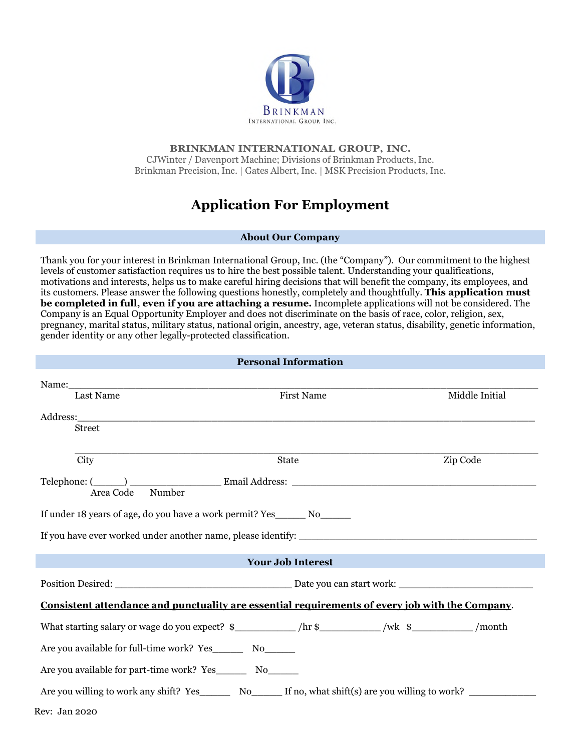

## **BRINKMAN INTERNATIONAL GROUP, INC.** CJWinter / Davenport Machine; Divisions of Brinkman Products, Inc. Brinkman Precision, Inc. | Gates Albert, Inc. | MSK Precision Products, Inc.

# **Application For Employment**

### **About Our Company**

Thank you for your interest in Brinkman International Group, Inc. (the "Company"). Our commitment to the highest levels of customer satisfaction requires us to hire the best possible talent. Understanding your qualifications, motivations and interests, helps us to make careful hiring decisions that will benefit the company, its employees, and its customers. Please answer the following questions honestly, completely and thoughtfully. **This application must be completed in full, even if you are attaching a resume.** Incomplete applications will not be considered. The Company is an Equal Opportunity Employer and does not discriminate on the basis of race, color, religion, sex, pregnancy, marital status, military status, national origin, ancestry, age, veteran status, disability, genetic information, gender identity or any other legally-protected classification.

**Personal Information** 

| Personal Information                                                                                                                                                                                                          |            |                |  |  |  |
|-------------------------------------------------------------------------------------------------------------------------------------------------------------------------------------------------------------------------------|------------|----------------|--|--|--|
| Name: Name and the same state of the same state of the same state of the same state of the same state of the same state of the same state of the same state of the same state of the same state of the same state of the same |            | Middle Initial |  |  |  |
| Last Name                                                                                                                                                                                                                     | First Name |                |  |  |  |
|                                                                                                                                                                                                                               |            |                |  |  |  |
| Street                                                                                                                                                                                                                        |            |                |  |  |  |
|                                                                                                                                                                                                                               |            |                |  |  |  |
| City                                                                                                                                                                                                                          | State      | Zip Code       |  |  |  |
| Number<br>Area Code                                                                                                                                                                                                           |            |                |  |  |  |
| If under 18 years of age, do you have a work permit? Yes________ No_______                                                                                                                                                    |            |                |  |  |  |
|                                                                                                                                                                                                                               |            |                |  |  |  |
| <b>Your Job Interest</b><br>$\mathcal{L}^{\text{max}}_{\text{max}}$ and $\mathcal{L}^{\text{max}}_{\text{max}}$ and $\mathcal{L}^{\text{max}}_{\text{max}}$ and $\mathcal{L}^{\text{max}}_{\text{max}}$                       |            |                |  |  |  |
|                                                                                                                                                                                                                               |            |                |  |  |  |
| <u>Consistent attendance and punctuality are essential requirements of every job with the Company.</u>                                                                                                                        |            |                |  |  |  |
| What starting salary or wage do you expect? $\frac{1}{2}$ /hr $\frac{1}{2}$ /wk $\frac{1}{2}$ /wk $\frac{1}{2}$ /month                                                                                                        |            |                |  |  |  |
| Are you available for full-time work? Yes__________ No________                                                                                                                                                                |            |                |  |  |  |
| Are you available for part-time work? Yes No                                                                                                                                                                                  |            |                |  |  |  |
| Are you willing to work any shift? Yes________ No______ If no, what shift(s) are you willing to work? ________                                                                                                                |            |                |  |  |  |
| <b>Rev: Jan 2020</b>                                                                                                                                                                                                          |            |                |  |  |  |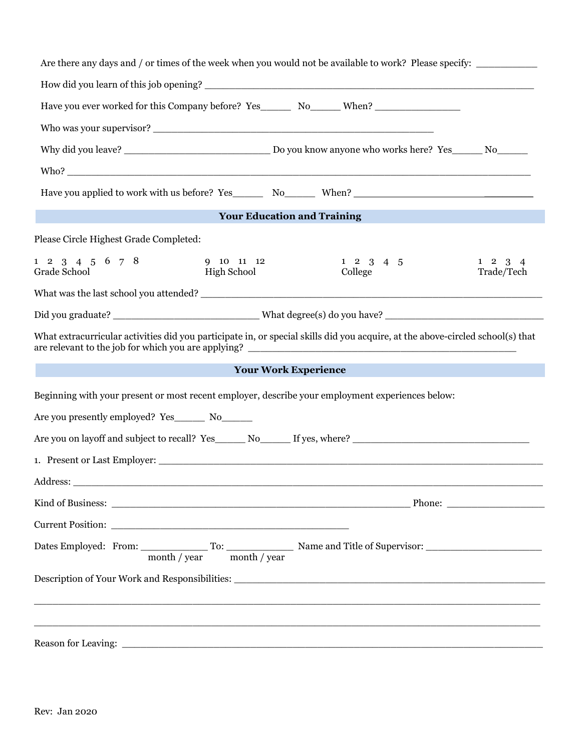| Are there any days and / or times of the week when you would not be available to work? Please specify:                         |                                    |                            |                               |  |
|--------------------------------------------------------------------------------------------------------------------------------|------------------------------------|----------------------------|-------------------------------|--|
|                                                                                                                                |                                    |                            |                               |  |
| Have you ever worked for this Company before? Yes_________ No_______ When? ___________________________________                 |                                    |                            |                               |  |
| Who was your supervisor?                                                                                                       |                                    |                            |                               |  |
|                                                                                                                                |                                    |                            |                               |  |
|                                                                                                                                |                                    |                            |                               |  |
|                                                                                                                                |                                    |                            |                               |  |
|                                                                                                                                | <b>Your Education and Training</b> |                            |                               |  |
| Please Circle Highest Grade Completed:                                                                                         |                                    |                            |                               |  |
| $1 \t2 \t3 \t4 \t5 \t6 \t7 \t8$<br>Grade School                                                                                | 9 10 11 12<br><b>High School</b>   | $1\ 2\ 3\ 4\ 5$<br>College | $1 \t2 \t3 \t4$<br>Trade/Tech |  |
|                                                                                                                                |                                    |                            |                               |  |
| Did you graduate? __________________________________What degree(s) do you have? ______________________________                 |                                    |                            |                               |  |
| What extracurricular activities did you participate in, or special skills did you acquire, at the above-circled school(s) that |                                    |                            |                               |  |
|                                                                                                                                | <b>Your Work Experience</b>        |                            |                               |  |
| Beginning with your present or most recent employer, describe your employment experiences below:                               |                                    |                            |                               |  |
|                                                                                                                                |                                    |                            |                               |  |
|                                                                                                                                |                                    |                            |                               |  |
| 1. Present or Last Employer:                                                                                                   |                                    |                            |                               |  |
| Address:<br><u> 1980 - Jan Barbara, martxa al II-lea (h. 1980).</u>                                                            |                                    |                            |                               |  |
|                                                                                                                                |                                    |                            |                               |  |
|                                                                                                                                |                                    |                            |                               |  |
| month / year month / year                                                                                                      |                                    |                            |                               |  |
| Description of Your Work and Responsibilities: __________________________________                                              |                                    |                            |                               |  |
|                                                                                                                                |                                    |                            |                               |  |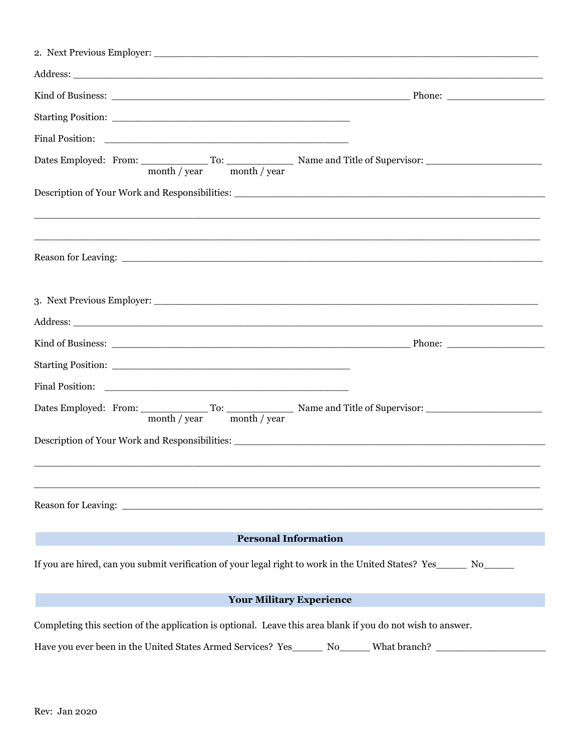| month / year month / year                                                                                                                                                                                                     |  |  |  |  |
|-------------------------------------------------------------------------------------------------------------------------------------------------------------------------------------------------------------------------------|--|--|--|--|
|                                                                                                                                                                                                                               |  |  |  |  |
|                                                                                                                                                                                                                               |  |  |  |  |
|                                                                                                                                                                                                                               |  |  |  |  |
|                                                                                                                                                                                                                               |  |  |  |  |
|                                                                                                                                                                                                                               |  |  |  |  |
|                                                                                                                                                                                                                               |  |  |  |  |
|                                                                                                                                                                                                                               |  |  |  |  |
|                                                                                                                                                                                                                               |  |  |  |  |
|                                                                                                                                                                                                                               |  |  |  |  |
|                                                                                                                                                                                                                               |  |  |  |  |
| <b>Personal Information</b>                                                                                                                                                                                                   |  |  |  |  |
| If you are hired, can you submit verification of your legal right to work in the United States? Yes_____ No____                                                                                                               |  |  |  |  |
| <b>Your Military Experience</b>                                                                                                                                                                                               |  |  |  |  |
| Completing this section of the application is optional. Leave this area blank if you do not wish to answer.<br>Have you ever been in the United States Armed Services? Yes_______ No______What branch? ______________________ |  |  |  |  |
|                                                                                                                                                                                                                               |  |  |  |  |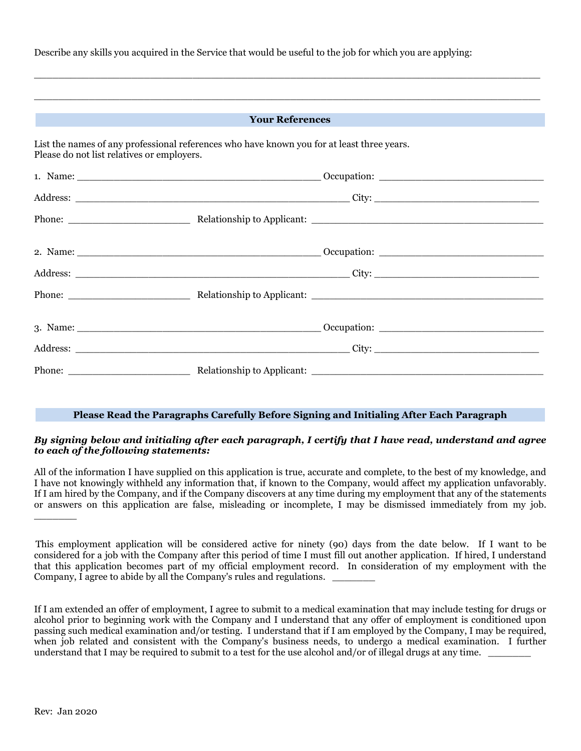Describe any skills you acquired in the Service that would be useful to the job for which you are applying:

| <b>The Vour References</b><br>a sa kacamatan ing Kabupatèn Kabupatèn Kabupatèn Kabupatèn Kabupatèn Kabupatèn Kabupatèn Kabupatèn Kabupatèn K |                                                                                            |  |  |  |  |
|----------------------------------------------------------------------------------------------------------------------------------------------|--------------------------------------------------------------------------------------------|--|--|--|--|
| Please do not list relatives or employers.                                                                                                   | List the names of any professional references who have known you for at least three years. |  |  |  |  |
|                                                                                                                                              |                                                                                            |  |  |  |  |
|                                                                                                                                              |                                                                                            |  |  |  |  |
|                                                                                                                                              |                                                                                            |  |  |  |  |
|                                                                                                                                              |                                                                                            |  |  |  |  |
|                                                                                                                                              |                                                                                            |  |  |  |  |
|                                                                                                                                              |                                                                                            |  |  |  |  |
|                                                                                                                                              |                                                                                            |  |  |  |  |
|                                                                                                                                              |                                                                                            |  |  |  |  |
|                                                                                                                                              |                                                                                            |  |  |  |  |

\_\_\_\_\_\_\_\_\_\_\_\_\_\_\_\_\_\_\_\_\_\_\_\_\_\_\_\_\_\_\_\_\_\_\_\_\_\_\_\_\_\_\_\_\_\_\_\_\_\_\_\_\_\_\_\_\_\_\_\_\_\_\_\_\_\_\_\_\_\_\_\_\_\_\_\_\_\_\_\_\_\_\_

#### **Please Read the Paragraphs Carefully Before Signing and Initialing After Each Paragraph**

### *By signing below and initialing after each paragraph, I certify that I have read, understand and agree to each of the following statements:*

All of the information I have supplied on this application is true, accurate and complete, to the best of my knowledge, and I have not knowingly withheld any information that, if known to the Company, would affect my application unfavorably. If I am hired by the Company, and if the Company discovers at any time during my employment that any of the statements or answers on this application are false, misleading or incomplete, I may be dismissed immediately from my job.  $\overline{\phantom{a}}$ 

This employment application will be considered active for ninety (90) days from the date below. If I want to be considered for a job with the Company after this period of time I must fill out another application. If hired, I understand that this application becomes part of my official employment record. In consideration of my employment with the Company, I agree to abide by all the Company's rules and regulations.

If I am extended an offer of employment, I agree to submit to a medical examination that may include testing for drugs or alcohol prior to beginning work with the Company and I understand that any offer of employment is conditioned upon passing such medical examination and/or testing. I understand that if I am employed by the Company, I may be required, when job related and consistent with the Company's business needs, to undergo a medical examination. I further understand that I may be required to submit to a test for the use alcohol and/or of illegal drugs at any time.